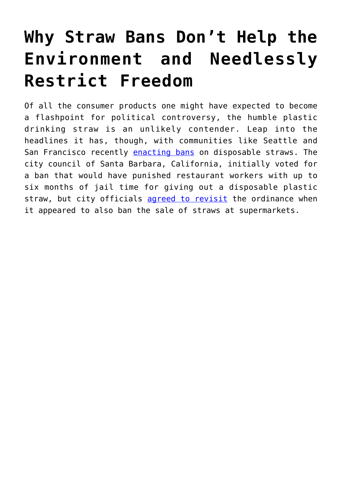## **[Why Straw Bans Don't Help the](https://intellectualtakeout.org/2018/08/why-straw-bans-dont-help-the-environment-and-needlessly-restrict-freedom/) [Environment and Needlessly](https://intellectualtakeout.org/2018/08/why-straw-bans-dont-help-the-environment-and-needlessly-restrict-freedom/) [Restrict Freedom](https://intellectualtakeout.org/2018/08/why-straw-bans-dont-help-the-environment-and-needlessly-restrict-freedom/)**

Of all the consumer products one might have expected to become a flashpoint for political controversy, the humble plastic drinking straw is an unlikely contender. Leap into the headlines it has, though, with communities like Seattle and San Francisco recently [enacting bans](https://www.businessinsider.com/plastic-straw-ban-why-are-there-so-many-2018-7) on disposable straws. The city council of Santa Barbara, California, initially voted for a ban that would have punished restaurant workers with up to six months of jail time for giving out a disposable plastic straw, but city officials [agreed to revisit](http://www.kcbx.org/post/santa-barbara-revisit-proposed-plastic-straw-ban#stream/0) the ordinance when it appeared to also ban the sale of straws at supermarkets.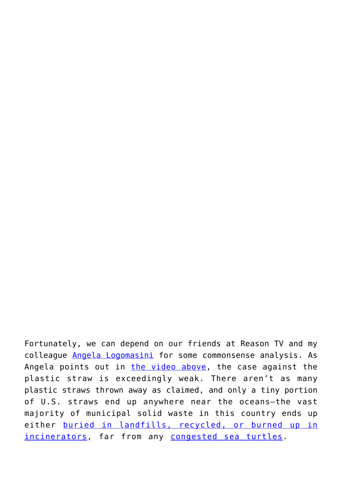Fortunately, we can depend on our friends at Reason TV and my colleague [Angela Logomasini](https://cei.org/content/counterpoint-plastic-bans-wont-solve-ocean-plastic-problem) for some commonsense analysis. As Angela points out in [the video above](https://www.youtube.com/watch?v=513EnQlwRfs), the case against the plastic straw is exceedingly weak. There aren't as many plastic straws thrown away as claimed, and only a tiny portion of U.S. straws end up anywhere near the oceans—the vast majority of municipal solid waste in this country ends up either [buried in landfills, recycled, or burned up in](http://css.umich.edu/factsheets/municipal-solid-waste-factsheet) [incinerators](http://css.umich.edu/factsheets/municipal-solid-waste-factsheet), far from any [congested sea turtles.](http://time.com/5339037/turtle-video-plastic-straw-ban/)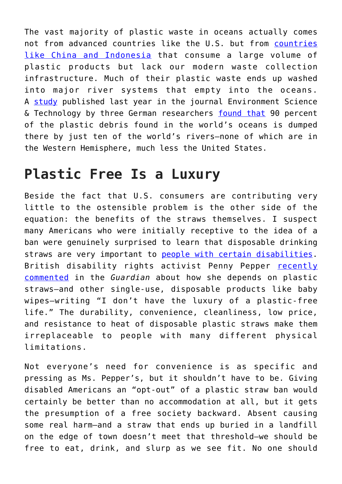The vast majority of plastic waste in oceans actually comes not from advanced countries like the U.S. but from [countries](https://www.fastcompany.com/3051847/most-of-the-plastic-in-the-ocean-comes-from-just-a-few-polluting-countries) [like China and Indonesia](https://www.fastcompany.com/3051847/most-of-the-plastic-in-the-ocean-comes-from-just-a-few-polluting-countries) that consume a large volume of plastic products but lack our modern waste collection infrastructure. Much of their plastic waste ends up washed into major river systems that empty into the oceans. A [study](https://pubs.acs.org/doi/10.1021/acs.est.7b02368) published last year in the journal Environment Science & Technology by three German researchers [found that](https://www.dw.com/en/almost-all-plastic-in-the-ocean-comes-from-just-10-rivers/a-41581484) 90 percent of the plastic debris found in the world's oceans is dumped there by just ten of the world's rivers—none of which are in the Western Hemisphere, much less the United States.

## **Plastic Free Is a Luxury**

Beside the fact that U.S. consumers are contributing very little to the ostensible problem is the other side of the equation: the benefits of the straws themselves. I suspect many Americans who were initially receptive to the idea of a ban were genuinely surprised to learn that disposable drinking straws are very important to [people with certain disabilities.](https://www.washingtonpost.com/news/posteverything/wp/2018/07/12/plastic-straw-bans-are-the-latest-policy-to-forget-the-disability-community/?utm_term=.0f615be98836) British disability rights activist Penny Pepper [recently](https://www.theguardian.com/commentisfree/2018/jul/09/disabled-person-plastic-straws-baby-wipes) [commented](https://www.theguardian.com/commentisfree/2018/jul/09/disabled-person-plastic-straws-baby-wipes) in the *Guardian* about how she depends on plastic straws—and other single-use, disposable products like baby wipes—writing "I don't have the luxury of a plastic-free life." The durability, convenience, cleanliness, low price, and resistance to heat of disposable plastic straws make them irreplaceable to people with many different physical limitations.

Not everyone's need for convenience is as specific and pressing as Ms. Pepper's, but it shouldn't have to be. Giving disabled Americans an "opt-out" of a plastic straw ban would certainly be better than no accommodation at all, but it gets the presumption of a free society backward. Absent causing some real harm—and a straw that ends up buried in a landfill on the edge of town doesn't meet that threshold—we should be free to eat, drink, and slurp as we see fit. No one should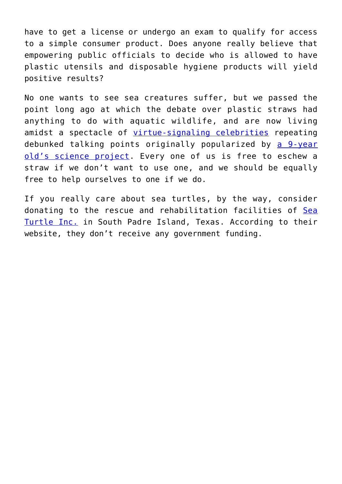have to get a license or undergo an exam to qualify for access to a simple consumer product. Does anyone really believe that empowering public officials to decide who is allowed to have plastic utensils and disposable hygiene products will yield positive results?

No one wants to see sea creatures suffer, but we passed the point long ago at which the debate over plastic straws had anything to do with aquatic wildlife, and are now living amidst a spectacle of [virtue-signaling celebrities](https://www.forbes.com/sites/michelinemaynard/2018/07/10/videos-celebrities-and-cities-how-the-anti-plastic-straw-movement-caught-on-so-fast/#7c61fd115c8b) repeating debunked talking points originally popularized by [a 9-year](https://www.washingtonexaminer.com/opinion/the-new-york-times-sources-a-9-year-old-child-to-peddle-fear-of-drinking-straws) [old's science project.](https://www.washingtonexaminer.com/opinion/the-new-york-times-sources-a-9-year-old-child-to-peddle-fear-of-drinking-straws) Every one of us is free to eschew a straw if we don't want to use one, and we should be equally free to help ourselves to one if we do.

If you really care about sea turtles, by the way, consider donating to the rescue and rehabilitation facilities of [Sea](http://www.seaturtleinc.org/about-us/) [Turtle Inc.](http://www.seaturtleinc.org/about-us/) in South Padre Island, Texas. According to their website, they don't receive any government funding.